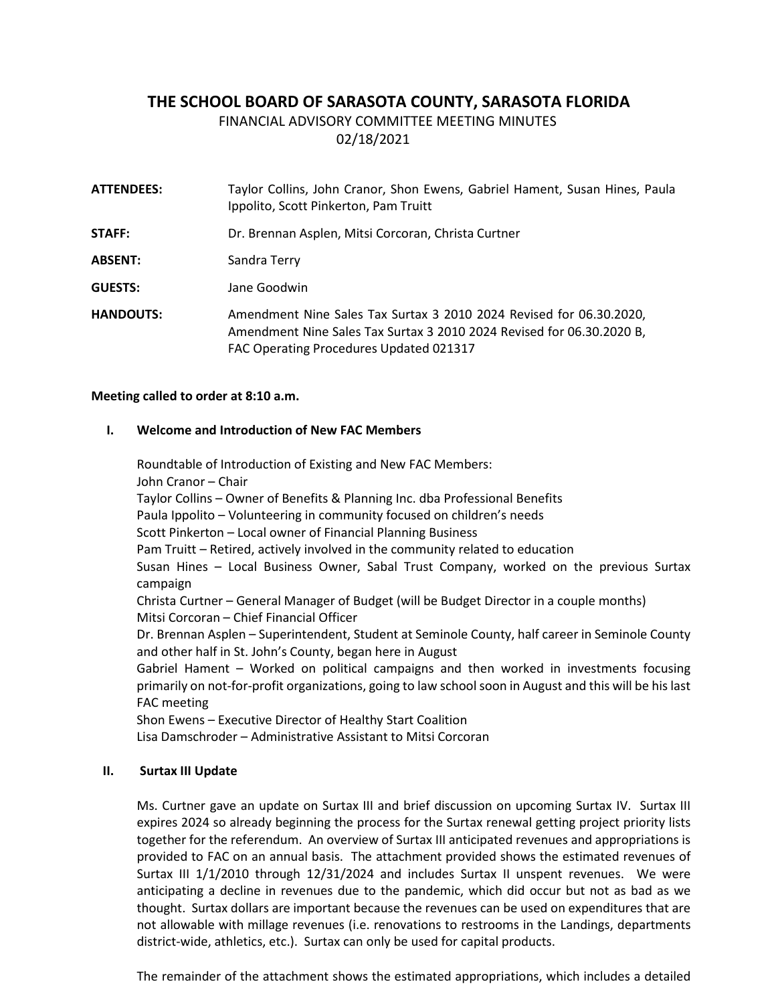# **THE SCHOOL BOARD OF SARASOTA COUNTY, SARASOTA FLORIDA**

FINANCIAL ADVISORY COMMITTEE MEETING MINUTES

02/18/2021

| <b>ATTENDEES:</b> | Taylor Collins, John Cranor, Shon Ewens, Gabriel Hament, Susan Hines, Paula<br>Ippolito, Scott Pinkerton, Pam Truitt                                                                    |
|-------------------|-----------------------------------------------------------------------------------------------------------------------------------------------------------------------------------------|
| STAFF:            | Dr. Brennan Asplen, Mitsi Corcoran, Christa Curtner                                                                                                                                     |
| <b>ABSENT:</b>    | Sandra Terry                                                                                                                                                                            |
| <b>GUESTS:</b>    | Jane Goodwin                                                                                                                                                                            |
| <b>HANDOUTS:</b>  | Amendment Nine Sales Tax Surtax 3 2010 2024 Revised for 06.30.2020,<br>Amendment Nine Sales Tax Surtax 3 2010 2024 Revised for 06.30.2020 B,<br>FAC Operating Procedures Updated 021317 |

## **Meeting called to order at 8:10 a.m.**

## **I. Welcome and Introduction of New FAC Members**

Roundtable of Introduction of Existing and New FAC Members: John Cranor – Chair Taylor Collins – Owner of Benefits & Planning Inc. dba Professional Benefits Paula Ippolito – Volunteering in community focused on children's needs Scott Pinkerton – Local owner of Financial Planning Business Pam Truitt – Retired, actively involved in the community related to education Susan Hines – Local Business Owner, Sabal Trust Company, worked on the previous Surtax campaign Christa Curtner – General Manager of Budget (will be Budget Director in a couple months) Mitsi Corcoran – Chief Financial Officer Dr. Brennan Asplen – Superintendent, Student at Seminole County, half career in Seminole County and other half in St. John's County, began here in August Gabriel Hament – Worked on political campaigns and then worked in investments focusing primarily on not-for-profit organizations, going to law school soon in August and this will be his last FAC meeting Shon Ewens – Executive Director of Healthy Start Coalition Lisa Damschroder – Administrative Assistant to Mitsi Corcoran

# **II. Surtax III Update**

Ms. Curtner gave an update on Surtax III and brief discussion on upcoming Surtax IV. Surtax III expires 2024 so already beginning the process for the Surtax renewal getting project priority lists together for the referendum. An overview of Surtax III anticipated revenues and appropriations is provided to FAC on an annual basis. The attachment provided shows the estimated revenues of Surtax III 1/1/2010 through 12/31/2024 and includes Surtax II unspent revenues. We were anticipating a decline in revenues due to the pandemic, which did occur but not as bad as we thought. Surtax dollars are important because the revenues can be used on expenditures that are not allowable with millage revenues (i.e. renovations to restrooms in the Landings, departments district-wide, athletics, etc.). Surtax can only be used for capital products.

The remainder of the attachment shows the estimated appropriations, which includes a detailed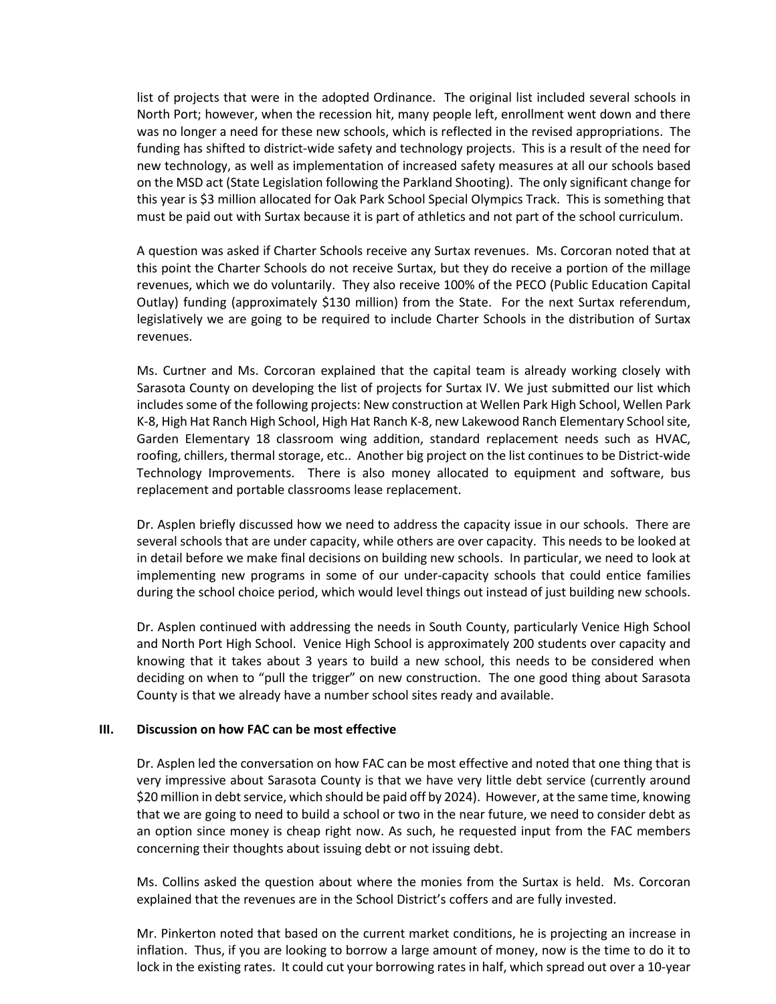list of projects that were in the adopted Ordinance. The original list included several schools in North Port; however, when the recession hit, many people left, enrollment went down and there was no longer a need for these new schools, which is reflected in the revised appropriations. The funding has shifted to district-wide safety and technology projects. This is a result of the need for new technology, as well as implementation of increased safety measures at all our schools based on the MSD act (State Legislation following the Parkland Shooting). The only significant change for this year is \$3 million allocated for Oak Park School Special Olympics Track. This is something that must be paid out with Surtax because it is part of athletics and not part of the school curriculum.

A question was asked if Charter Schools receive any Surtax revenues. Ms. Corcoran noted that at this point the Charter Schools do not receive Surtax, but they do receive a portion of the millage revenues, which we do voluntarily. They also receive 100% of the PECO (Public Education Capital Outlay) funding (approximately \$130 million) from the State. For the next Surtax referendum, legislatively we are going to be required to include Charter Schools in the distribution of Surtax revenues.

Ms. Curtner and Ms. Corcoran explained that the capital team is already working closely with Sarasota County on developing the list of projects for Surtax IV. We just submitted our list which includes some of the following projects: New construction at Wellen Park High School, Wellen Park K-8, High Hat Ranch High School, High Hat Ranch K-8, new Lakewood Ranch Elementary School site, Garden Elementary 18 classroom wing addition, standard replacement needs such as HVAC, roofing, chillers, thermal storage, etc.. Another big project on the list continues to be District-wide Technology Improvements. There is also money allocated to equipment and software, bus replacement and portable classrooms lease replacement.

Dr. Asplen briefly discussed how we need to address the capacity issue in our schools. There are several schools that are under capacity, while others are over capacity. This needs to be looked at in detail before we make final decisions on building new schools. In particular, we need to look at implementing new programs in some of our under-capacity schools that could entice families during the school choice period, which would level things out instead of just building new schools.

Dr. Asplen continued with addressing the needs in South County, particularly Venice High School and North Port High School. Venice High School is approximately 200 students over capacity and knowing that it takes about 3 years to build a new school, this needs to be considered when deciding on when to "pull the trigger" on new construction. The one good thing about Sarasota County is that we already have a number school sites ready and available.

#### **III. Discussion on how FAC can be most effective**

Dr. Asplen led the conversation on how FAC can be most effective and noted that one thing that is very impressive about Sarasota County is that we have very little debt service (currently around \$20 million in debt service, which should be paid off by 2024). However, at the same time, knowing that we are going to need to build a school or two in the near future, we need to consider debt as an option since money is cheap right now. As such, he requested input from the FAC members concerning their thoughts about issuing debt or not issuing debt.

Ms. Collins asked the question about where the monies from the Surtax is held. Ms. Corcoran explained that the revenues are in the School District's coffers and are fully invested.

Mr. Pinkerton noted that based on the current market conditions, he is projecting an increase in inflation. Thus, if you are looking to borrow a large amount of money, now is the time to do it to lock in the existing rates. It could cut your borrowing rates in half, which spread out over a 10-year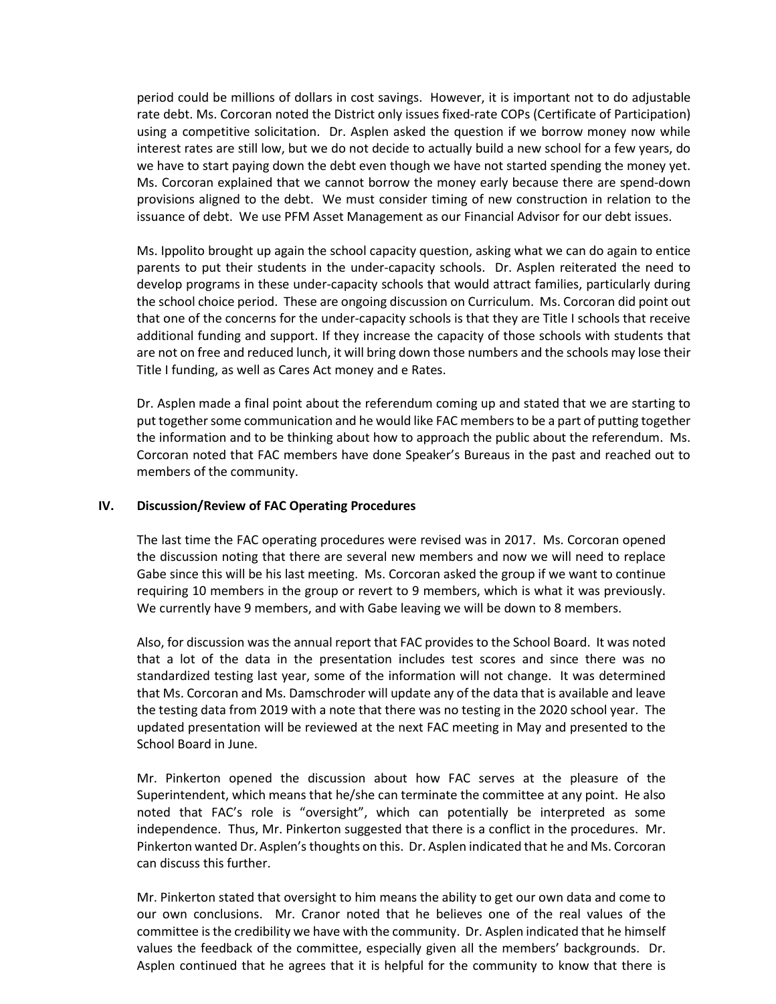period could be millions of dollars in cost savings. However, it is important not to do adjustable rate debt. Ms. Corcoran noted the District only issues fixed-rate COPs (Certificate of Participation) using a competitive solicitation. Dr. Asplen asked the question if we borrow money now while interest rates are still low, but we do not decide to actually build a new school for a few years, do we have to start paying down the debt even though we have not started spending the money yet. Ms. Corcoran explained that we cannot borrow the money early because there are spend-down provisions aligned to the debt. We must consider timing of new construction in relation to the issuance of debt. We use PFM Asset Management as our Financial Advisor for our debt issues.

Ms. Ippolito brought up again the school capacity question, asking what we can do again to entice parents to put their students in the under-capacity schools. Dr. Asplen reiterated the need to develop programs in these under-capacity schools that would attract families, particularly during the school choice period. These are ongoing discussion on Curriculum. Ms. Corcoran did point out that one of the concerns for the under-capacity schools is that they are Title I schools that receive additional funding and support. If they increase the capacity of those schools with students that are not on free and reduced lunch, it will bring down those numbers and the schools may lose their Title I funding, as well as Cares Act money and e Rates.

Dr. Asplen made a final point about the referendum coming up and stated that we are starting to put together some communication and he would like FAC members to be a part of putting together the information and to be thinking about how to approach the public about the referendum. Ms. Corcoran noted that FAC members have done Speaker's Bureaus in the past and reached out to members of the community.

#### **IV. Discussion/Review of FAC Operating Procedures**

The last time the FAC operating procedures were revised was in 2017. Ms. Corcoran opened the discussion noting that there are several new members and now we will need to replace Gabe since this will be his last meeting. Ms. Corcoran asked the group if we want to continue requiring 10 members in the group or revert to 9 members, which is what it was previously. We currently have 9 members, and with Gabe leaving we will be down to 8 members.

Also, for discussion was the annual report that FAC provides to the School Board. It was noted that a lot of the data in the presentation includes test scores and since there was no standardized testing last year, some of the information will not change. It was determined that Ms. Corcoran and Ms. Damschroder will update any of the data that is available and leave the testing data from 2019 with a note that there was no testing in the 2020 school year. The updated presentation will be reviewed at the next FAC meeting in May and presented to the School Board in June.

Mr. Pinkerton opened the discussion about how FAC serves at the pleasure of the Superintendent, which means that he/she can terminate the committee at any point. He also noted that FAC's role is "oversight", which can potentially be interpreted as some independence. Thus, Mr. Pinkerton suggested that there is a conflict in the procedures. Mr. Pinkerton wanted Dr. Asplen's thoughts on this. Dr. Asplen indicated that he and Ms. Corcoran can discuss this further.

Mr. Pinkerton stated that oversight to him means the ability to get our own data and come to our own conclusions. Mr. Cranor noted that he believes one of the real values of the committee is the credibility we have with the community. Dr. Asplen indicated that he himself values the feedback of the committee, especially given all the members' backgrounds. Dr. Asplen continued that he agrees that it is helpful for the community to know that there is